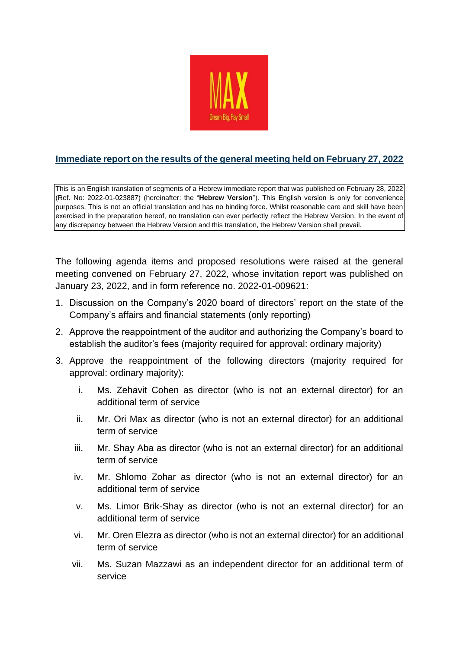

## **Immediate report on the results of the general meeting held on February 27, 2022**

This is an English translation of segments of a Hebrew immediate report that was published on February 28, 2022 (Ref. No: 2022-01-023887) (hereinafter: the "**Hebrew Version**"). This English version is only for convenience purposes. This is not an official translation and has no binding force. Whilst reasonable care and skill have been exercised in the preparation hereof, no translation can ever perfectly reflect the Hebrew Version. In the event of any discrepancy between the Hebrew Version and this translation, the Hebrew Version shall prevail.

The following agenda items and proposed resolutions were raised at the general meeting convened on February 27, 2022, whose invitation report was published on January 23, 2022, and in form reference no. 2022-01-009621:

- 1. Discussion on the Company's 2020 board of directors' report on the state of the Company's affairs and financial statements (only reporting)
- 2. Approve the reappointment of the auditor and authorizing the Company's board to establish the auditor's fees (majority required for approval: ordinary majority)
- 3. Approve the reappointment of the following directors (majority required for approval: ordinary majority):
	- i. Ms. Zehavit Cohen as director (who is not an external director) for an additional term of service
	- ii. Mr. Ori Max as director (who is not an external director) for an additional term of service
	- iii. Mr. Shay Aba as director (who is not an external director) for an additional term of service
	- iv. Mr. Shlomo Zohar as director (who is not an external director) for an additional term of service
	- v. Ms. Limor Brik-Shay as director (who is not an external director) for an additional term of service
	- vi. Mr. Oren Elezra as director (who is not an external director) for an additional term of service
	- vii. Ms. Suzan Mazzawi as an independent director for an additional term of service